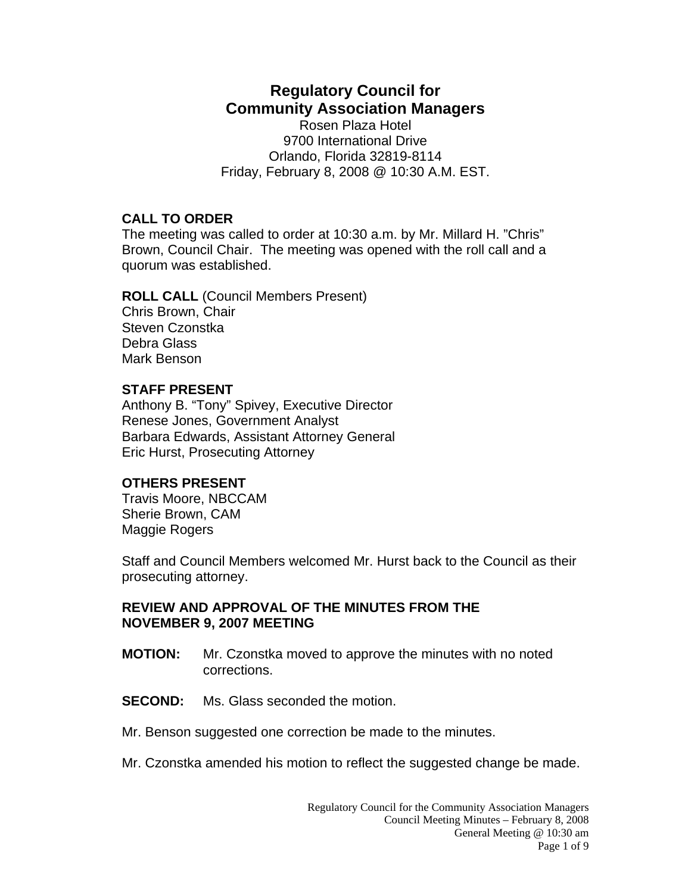# **Regulatory Council for Community Association Managers**

Rosen Plaza Hotel 9700 International Drive Orlando, Florida 32819-8114 Friday, February 8, 2008 @ 10:30 A.M. EST.

#### **CALL TO ORDER**

The meeting was called to order at 10:30 a.m. by Mr. Millard H. "Chris" Brown, Council Chair. The meeting was opened with the roll call and a quorum was established.

**ROLL CALL** (Council Members Present) Chris Brown, Chair Steven Czonstka Debra Glass Mark Benson

#### **STAFF PRESENT**

Anthony B. "Tony" Spivey, Executive Director Renese Jones, Government Analyst Barbara Edwards, Assistant Attorney General Eric Hurst, Prosecuting Attorney

#### **OTHERS PRESENT**

Travis Moore, NBCCAM Sherie Brown, CAM Maggie Rogers

Staff and Council Members welcomed Mr. Hurst back to the Council as their prosecuting attorney.

#### **REVIEW AND APPROVAL OF THE MINUTES FROM THE NOVEMBER 9, 2007 MEETING**

- **MOTION:** Mr. Czonstka moved to approve the minutes with no noted corrections.
- **SECOND:** Ms. Glass seconded the motion.
- Mr. Benson suggested one correction be made to the minutes.
- Mr. Czonstka amended his motion to reflect the suggested change be made.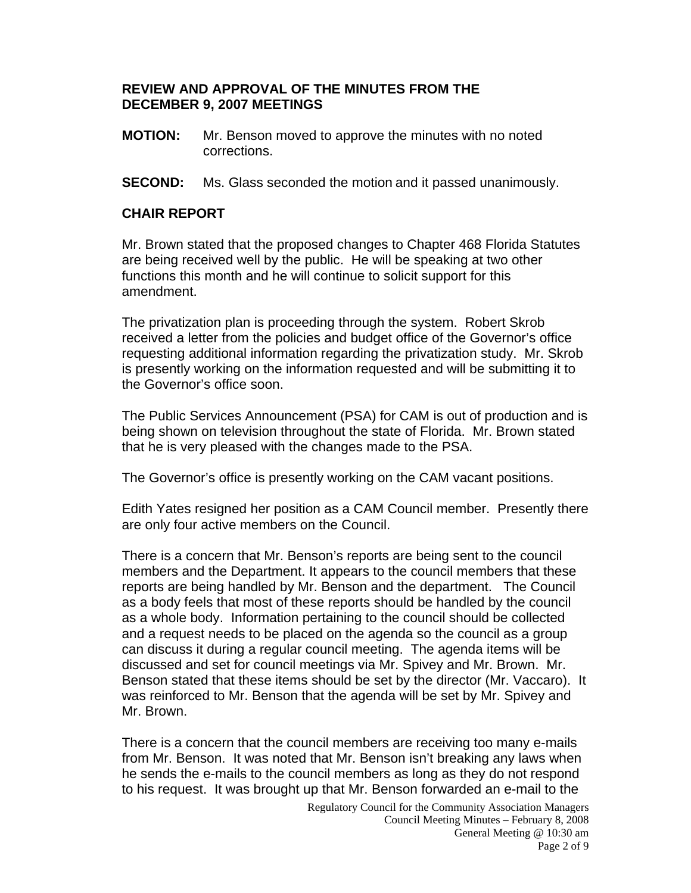#### **REVIEW AND APPROVAL OF THE MINUTES FROM THE DECEMBER 9, 2007 MEETINGS**

- **MOTION:** Mr. Benson moved to approve the minutes with no noted corrections.
- **SECOND:** Ms. Glass seconded the motion and it passed unanimously.

## **CHAIR REPORT**

Mr. Brown stated that the proposed changes to Chapter 468 Florida Statutes are being received well by the public. He will be speaking at two other functions this month and he will continue to solicit support for this amendment.

The privatization plan is proceeding through the system. Robert Skrob received a letter from the policies and budget office of the Governor's office requesting additional information regarding the privatization study. Mr. Skrob is presently working on the information requested and will be submitting it to the Governor's office soon.

The Public Services Announcement (PSA) for CAM is out of production and is being shown on television throughout the state of Florida. Mr. Brown stated that he is very pleased with the changes made to the PSA.

The Governor's office is presently working on the CAM vacant positions.

Edith Yates resigned her position as a CAM Council member. Presently there are only four active members on the Council.

There is a concern that Mr. Benson's reports are being sent to the council members and the Department. It appears to the council members that these reports are being handled by Mr. Benson and the department. The Council as a body feels that most of these reports should be handled by the council as a whole body. Information pertaining to the council should be collected and a request needs to be placed on the agenda so the council as a group can discuss it during a regular council meeting. The agenda items will be discussed and set for council meetings via Mr. Spivey and Mr. Brown. Mr. Benson stated that these items should be set by the director (Mr. Vaccaro). It was reinforced to Mr. Benson that the agenda will be set by Mr. Spivey and Mr. Brown.

There is a concern that the council members are receiving too many e-mails from Mr. Benson. It was noted that Mr. Benson isn't breaking any laws when he sends the e-mails to the council members as long as they do not respond to his request. It was brought up that Mr. Benson forwarded an e-mail to the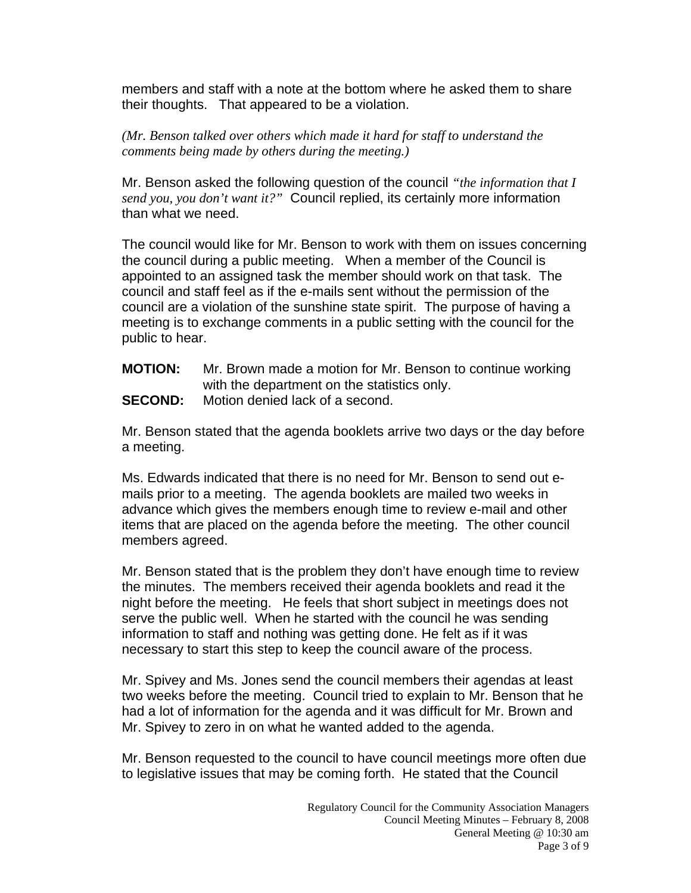members and staff with a note at the bottom where he asked them to share their thoughts. That appeared to be a violation.

*(Mr. Benson talked over others which made it hard for staff to understand the comments being made by others during the meeting.)* 

Mr. Benson asked the following question of the council *"the information that I send you, you don't want it?"* Council replied, its certainly more information than what we need.

The council would like for Mr. Benson to work with them on issues concerning the council during a public meeting. When a member of the Council is appointed to an assigned task the member should work on that task. The council and staff feel as if the e-mails sent without the permission of the council are a violation of the sunshine state spirit. The purpose of having a meeting is to exchange comments in a public setting with the council for the public to hear.

**MOTION:** Mr. Brown made a motion for Mr. Benson to continue working with the department on the statistics only. **SECOND:** Motion denied lack of a second.

Mr. Benson stated that the agenda booklets arrive two days or the day before a meeting.

Ms. Edwards indicated that there is no need for Mr. Benson to send out emails prior to a meeting. The agenda booklets are mailed two weeks in advance which gives the members enough time to review e-mail and other items that are placed on the agenda before the meeting. The other council members agreed.

Mr. Benson stated that is the problem they don't have enough time to review the minutes. The members received their agenda booklets and read it the night before the meeting. He feels that short subject in meetings does not serve the public well. When he started with the council he was sending information to staff and nothing was getting done. He felt as if it was necessary to start this step to keep the council aware of the process.

Mr. Spivey and Ms. Jones send the council members their agendas at least two weeks before the meeting. Council tried to explain to Mr. Benson that he had a lot of information for the agenda and it was difficult for Mr. Brown and Mr. Spivey to zero in on what he wanted added to the agenda.

Mr. Benson requested to the council to have council meetings more often due to legislative issues that may be coming forth. He stated that the Council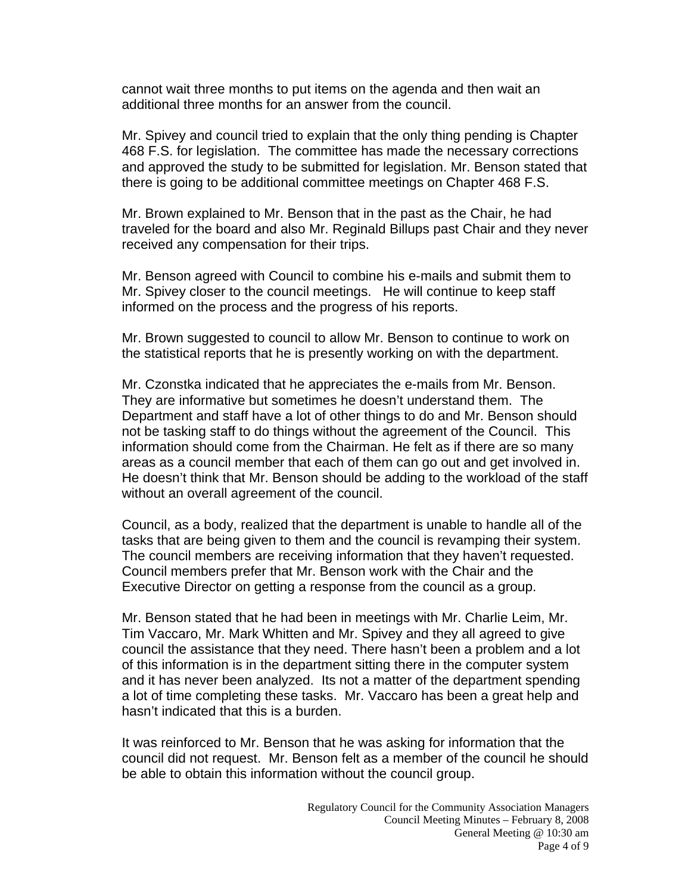cannot wait three months to put items on the agenda and then wait an additional three months for an answer from the council.

Mr. Spivey and council tried to explain that the only thing pending is Chapter 468 F.S. for legislation. The committee has made the necessary corrections and approved the study to be submitted for legislation. Mr. Benson stated that there is going to be additional committee meetings on Chapter 468 F.S.

Mr. Brown explained to Mr. Benson that in the past as the Chair, he had traveled for the board and also Mr. Reginald Billups past Chair and they never received any compensation for their trips.

Mr. Benson agreed with Council to combine his e-mails and submit them to Mr. Spivey closer to the council meetings. He will continue to keep staff informed on the process and the progress of his reports.

Mr. Brown suggested to council to allow Mr. Benson to continue to work on the statistical reports that he is presently working on with the department.

Mr. Czonstka indicated that he appreciates the e-mails from Mr. Benson. They are informative but sometimes he doesn't understand them. The Department and staff have a lot of other things to do and Mr. Benson should not be tasking staff to do things without the agreement of the Council. This information should come from the Chairman. He felt as if there are so many areas as a council member that each of them can go out and get involved in. He doesn't think that Mr. Benson should be adding to the workload of the staff without an overall agreement of the council.

Council, as a body, realized that the department is unable to handle all of the tasks that are being given to them and the council is revamping their system. The council members are receiving information that they haven't requested. Council members prefer that Mr. Benson work with the Chair and the Executive Director on getting a response from the council as a group.

Mr. Benson stated that he had been in meetings with Mr. Charlie Leim, Mr. Tim Vaccaro, Mr. Mark Whitten and Mr. Spivey and they all agreed to give council the assistance that they need. There hasn't been a problem and a lot of this information is in the department sitting there in the computer system and it has never been analyzed. Its not a matter of the department spending a lot of time completing these tasks. Mr. Vaccaro has been a great help and hasn't indicated that this is a burden.

It was reinforced to Mr. Benson that he was asking for information that the council did not request. Mr. Benson felt as a member of the council he should be able to obtain this information without the council group.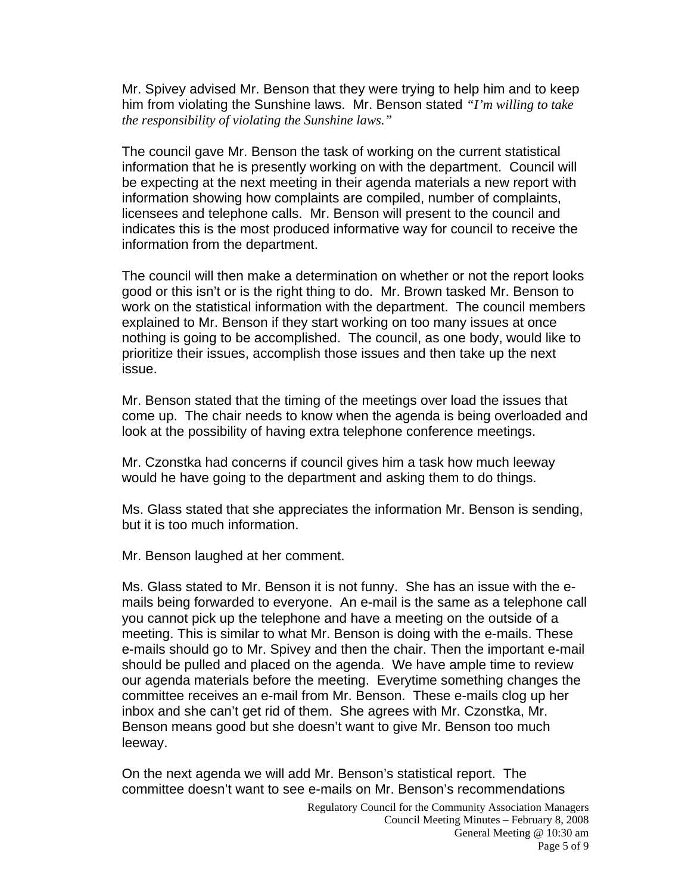Mr. Spivey advised Mr. Benson that they were trying to help him and to keep him from violating the Sunshine laws. Mr. Benson stated *"I'm willing to take the responsibility of violating the Sunshine laws."* 

The council gave Mr. Benson the task of working on the current statistical information that he is presently working on with the department. Council will be expecting at the next meeting in their agenda materials a new report with information showing how complaints are compiled, number of complaints, licensees and telephone calls. Mr. Benson will present to the council and indicates this is the most produced informative way for council to receive the information from the department.

The council will then make a determination on whether or not the report looks good or this isn't or is the right thing to do. Mr. Brown tasked Mr. Benson to work on the statistical information with the department. The council members explained to Mr. Benson if they start working on too many issues at once nothing is going to be accomplished. The council, as one body, would like to prioritize their issues, accomplish those issues and then take up the next issue.

Mr. Benson stated that the timing of the meetings over load the issues that come up. The chair needs to know when the agenda is being overloaded and look at the possibility of having extra telephone conference meetings.

Mr. Czonstka had concerns if council gives him a task how much leeway would he have going to the department and asking them to do things.

Ms. Glass stated that she appreciates the information Mr. Benson is sending, but it is too much information.

Mr. Benson laughed at her comment.

Ms. Glass stated to Mr. Benson it is not funny. She has an issue with the emails being forwarded to everyone. An e-mail is the same as a telephone call you cannot pick up the telephone and have a meeting on the outside of a meeting. This is similar to what Mr. Benson is doing with the e-mails. These e-mails should go to Mr. Spivey and then the chair. Then the important e-mail should be pulled and placed on the agenda. We have ample time to review our agenda materials before the meeting. Everytime something changes the committee receives an e-mail from Mr. Benson. These e-mails clog up her inbox and she can't get rid of them. She agrees with Mr. Czonstka, Mr. Benson means good but she doesn't want to give Mr. Benson too much leeway.

On the next agenda we will add Mr. Benson's statistical report. The committee doesn't want to see e-mails on Mr. Benson's recommendations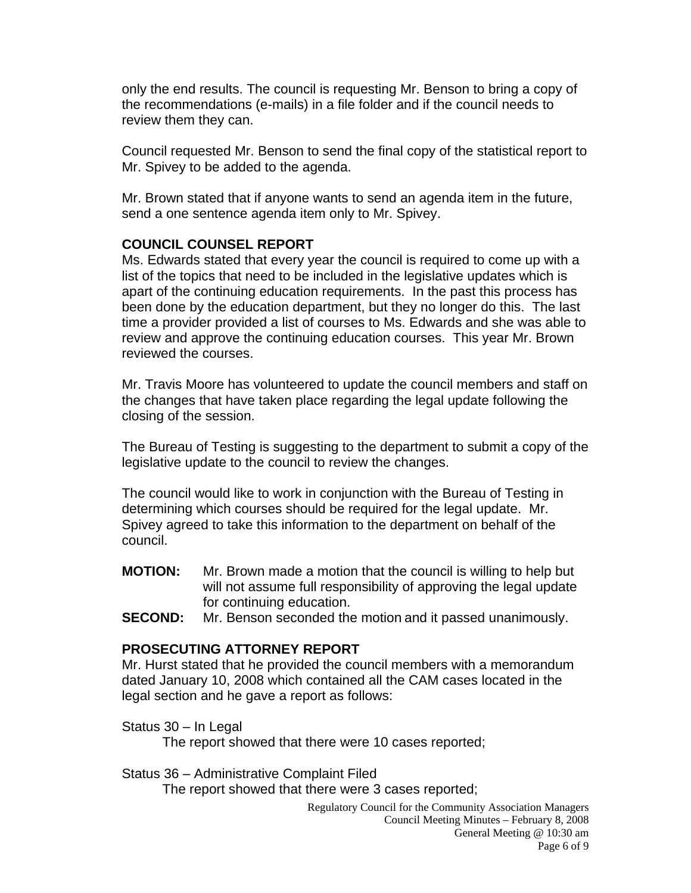only the end results. The council is requesting Mr. Benson to bring a copy of the recommendations (e-mails) in a file folder and if the council needs to review them they can.

Council requested Mr. Benson to send the final copy of the statistical report to Mr. Spivey to be added to the agenda.

Mr. Brown stated that if anyone wants to send an agenda item in the future, send a one sentence agenda item only to Mr. Spivey.

#### **COUNCIL COUNSEL REPORT**

Ms. Edwards stated that every year the council is required to come up with a list of the topics that need to be included in the legislative updates which is apart of the continuing education requirements. In the past this process has been done by the education department, but they no longer do this. The last time a provider provided a list of courses to Ms. Edwards and she was able to review and approve the continuing education courses. This year Mr. Brown reviewed the courses.

Mr. Travis Moore has volunteered to update the council members and staff on the changes that have taken place regarding the legal update following the closing of the session.

The Bureau of Testing is suggesting to the department to submit a copy of the legislative update to the council to review the changes.

The council would like to work in conjunction with the Bureau of Testing in determining which courses should be required for the legal update. Mr. Spivey agreed to take this information to the department on behalf of the council.

- **MOTION:** Mr. Brown made a motion that the council is willing to help but will not assume full responsibility of approving the legal update for continuing education.
- **SECOND:** Mr. Benson seconded the motion and it passed unanimously.

#### **PROSECUTING ATTORNEY REPORT**

Mr. Hurst stated that he provided the council members with a memorandum dated January 10, 2008 which contained all the CAM cases located in the legal section and he gave a report as follows:

Status 30 – In Legal

The report showed that there were 10 cases reported;

Status 36 – Administrative Complaint Filed

The report showed that there were 3 cases reported;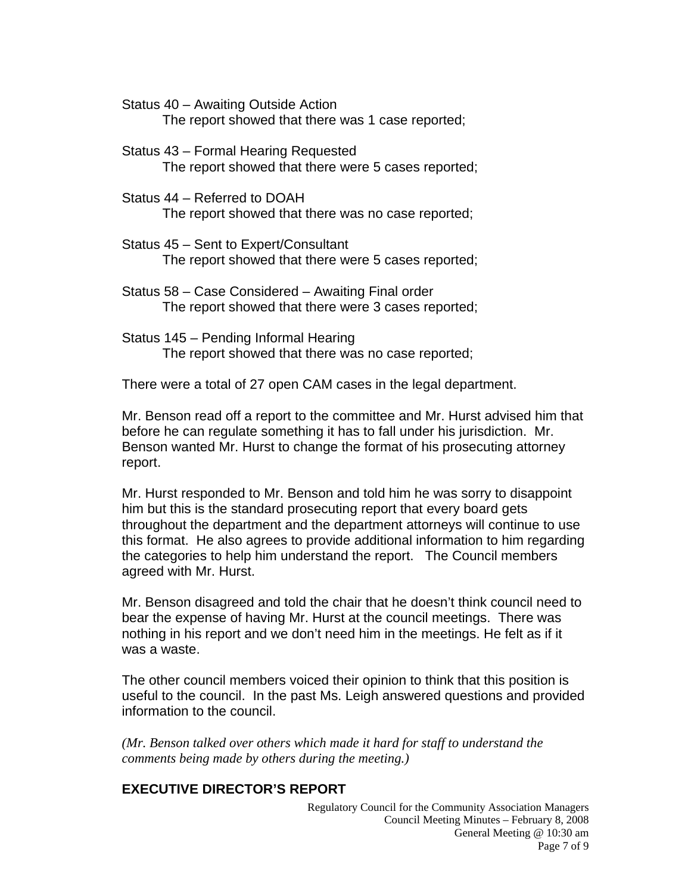Status 40 – Awaiting Outside Action

The report showed that there was 1 case reported;

- Status 43 Formal Hearing Requested The report showed that there were 5 cases reported;
- Status 44 Referred to DOAH The report showed that there was no case reported;
- Status 45 Sent to Expert/Consultant The report showed that there were 5 cases reported;
- Status 58 Case Considered Awaiting Final order The report showed that there were 3 cases reported;
- Status 145 Pending Informal Hearing The report showed that there was no case reported;

There were a total of 27 open CAM cases in the legal department.

Mr. Benson read off a report to the committee and Mr. Hurst advised him that before he can regulate something it has to fall under his jurisdiction. Mr. Benson wanted Mr. Hurst to change the format of his prosecuting attorney report.

Mr. Hurst responded to Mr. Benson and told him he was sorry to disappoint him but this is the standard prosecuting report that every board gets throughout the department and the department attorneys will continue to use this format. He also agrees to provide additional information to him regarding the categories to help him understand the report. The Council members agreed with Mr. Hurst.

Mr. Benson disagreed and told the chair that he doesn't think council need to bear the expense of having Mr. Hurst at the council meetings. There was nothing in his report and we don't need him in the meetings. He felt as if it was a waste.

The other council members voiced their opinion to think that this position is useful to the council. In the past Ms. Leigh answered questions and provided information to the council.

*(Mr. Benson talked over others which made it hard for staff to understand the comments being made by others during the meeting.)* 

# **EXECUTIVE DIRECTOR'S REPORT**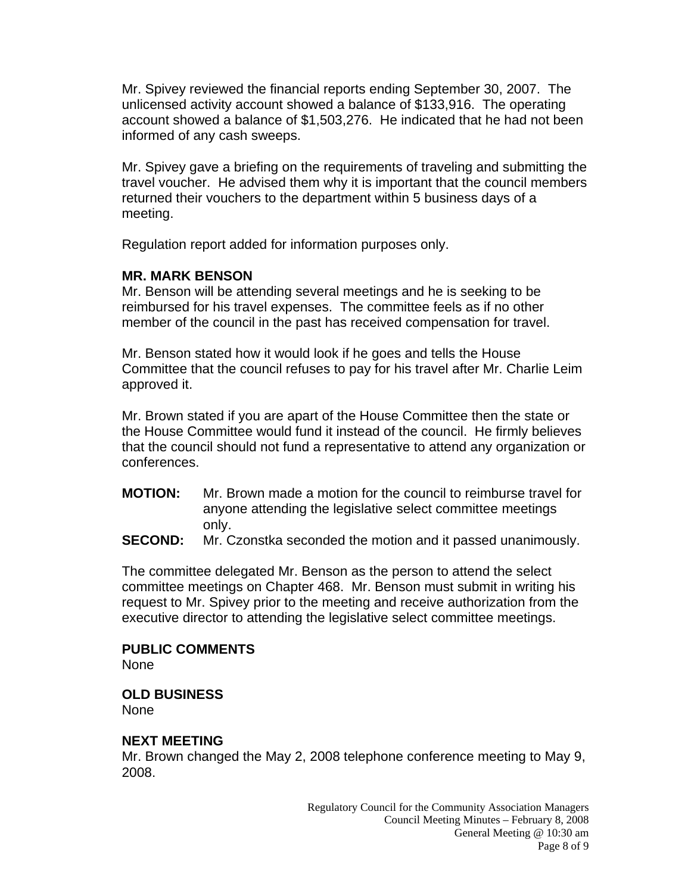Mr. Spivey reviewed the financial reports ending September 30, 2007. The unlicensed activity account showed a balance of \$133,916. The operating account showed a balance of \$1,503,276. He indicated that he had not been informed of any cash sweeps.

Mr. Spivey gave a briefing on the requirements of traveling and submitting the travel voucher. He advised them why it is important that the council members returned their vouchers to the department within 5 business days of a meeting.

Regulation report added for information purposes only.

#### **MR. MARK BENSON**

Mr. Benson will be attending several meetings and he is seeking to be reimbursed for his travel expenses. The committee feels as if no other member of the council in the past has received compensation for travel.

Mr. Benson stated how it would look if he goes and tells the House Committee that the council refuses to pay for his travel after Mr. Charlie Leim approved it.

Mr. Brown stated if you are apart of the House Committee then the state or the House Committee would fund it instead of the council. He firmly believes that the council should not fund a representative to attend any organization or conferences.

- **MOTION:** Mr. Brown made a motion for the council to reimburse travel for anyone attending the legislative select committee meetings only.
- **SECOND:** Mr. Czonstka seconded the motion and it passed unanimously.

The committee delegated Mr. Benson as the person to attend the select committee meetings on Chapter 468. Mr. Benson must submit in writing his request to Mr. Spivey prior to the meeting and receive authorization from the executive director to attending the legislative select committee meetings.

#### **PUBLIC COMMENTS**

None

## **OLD BUSINESS**

None

#### **NEXT MEETING**

Mr. Brown changed the May 2, 2008 telephone conference meeting to May 9, 2008.